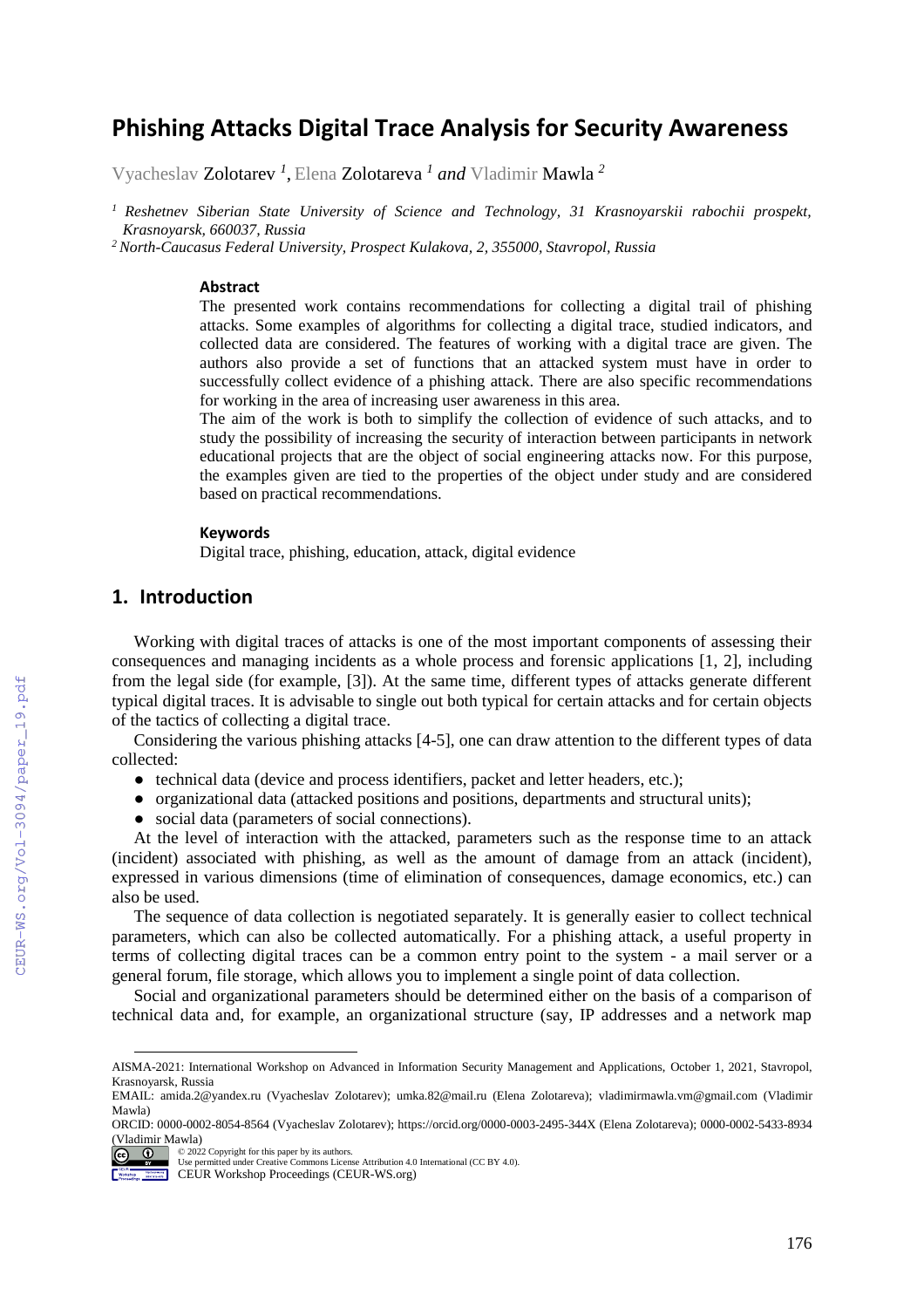# **Phishing Attacks Digital Trace Analysis for Security Awareness**

Vyacheslav Zolotarev *<sup>1</sup>* , Elena Zolotareva *<sup>1</sup> and* Vladimir Mawla *<sup>2</sup>*

*<sup>1</sup> Reshetnev Siberian State University of Science and Technology, 31 Krasnoyarskii rabochii prospekt, Krasnoyarsk, 660037, Russia*

*<sup>2</sup> North-Caucasus Federal University, Prospect Kulakova, 2, 355000, Stavropol, Russia*

#### **Abstract**

The presented work contains recommendations for collecting a digital trail of phishing attacks. Some examples of algorithms for collecting a digital trace, studied indicators, and collected data are considered. The features of working with a digital trace are given. The authors also provide a set of functions that an attacked system must have in order to successfully collect evidence of a phishing attack. There are also specific recommendations for working in the area of increasing user awareness in this area.

The aim of the work is both to simplify the collection of evidence of such attacks, and to study the possibility of increasing the security of interaction between participants in network educational projects that are the object of social engineering attacks now. For this purpose, the examples given are tied to the properties of the object under study and are considered based on practical recommendations.

#### **Keywords <sup>1</sup>**

Digital trace, phishing, education, attack, digital evidence

#### **1. Introduction**

Working with digital traces of attacks is one of the most important components of assessing their consequences and managing incidents as a whole process and forensic applications [1, 2], including from the legal side (for example, [3]). At the same time, different types of attacks generate different typical digital traces. It is advisable to single out both typical for certain attacks and for certain objects of the tactics of collecting a digital trace.

Considering the various phishing attacks [4-5], one can draw attention to the different types of data collected:

- technical data (device and process identifiers, packet and letter headers, etc.);
- organizational data (attacked positions and positions, departments and structural units);
- social data (parameters of social connections).

At the level of interaction with the attacked, parameters such as the response time to an attack (incident) associated with phishing, as well as the amount of damage from an attack (incident), expressed in various dimensions (time of elimination of consequences, damage economics, etc.) can also be used.

The sequence of data collection is negotiated separately. It is generally easier to collect technical parameters, which can also be collected automatically. For a phishing attack, a useful property in terms of collecting digital traces can be a common entry point to the system - a mail server or a general forum, file storage, which allows you to implement a single point of data collection.

Social and organizational parameters should be determined either on the basis of a comparison of technical data and, for example, an organizational structure (say, IP addresses and a network map

 $\overline{a}$ 

AISMA-2021: International Workshop on Advanced in Information Security Management and Applications, October 1, 2021, Stavropol, Krasnoyarsk, Russia

EMAIL: amida.2@yandex.ru (Vyacheslav Zolotarev); umka.82@mail.ru (Elena Zolotareva); [vladimirmawla.vm@gmail.com](mailto:vladimirmawla.vm@gmail.com) (Vladimir Mawla)

ORCID: 0000-0002-8054-8564 (Vyacheslav Zolotarev); https://orcid.org/0000-0003-2495-344X (Elena Zolotareva); 0000-0002-5433-8934 (Vladimir Mawla)

<sup>©</sup> 2022 Copyright for this paper by its authors. Use permitted under Creative Commons License Attribution 4.0 International (CC BY 4.0).

CEUR Workshop Proceedings (CEUR-WS.org)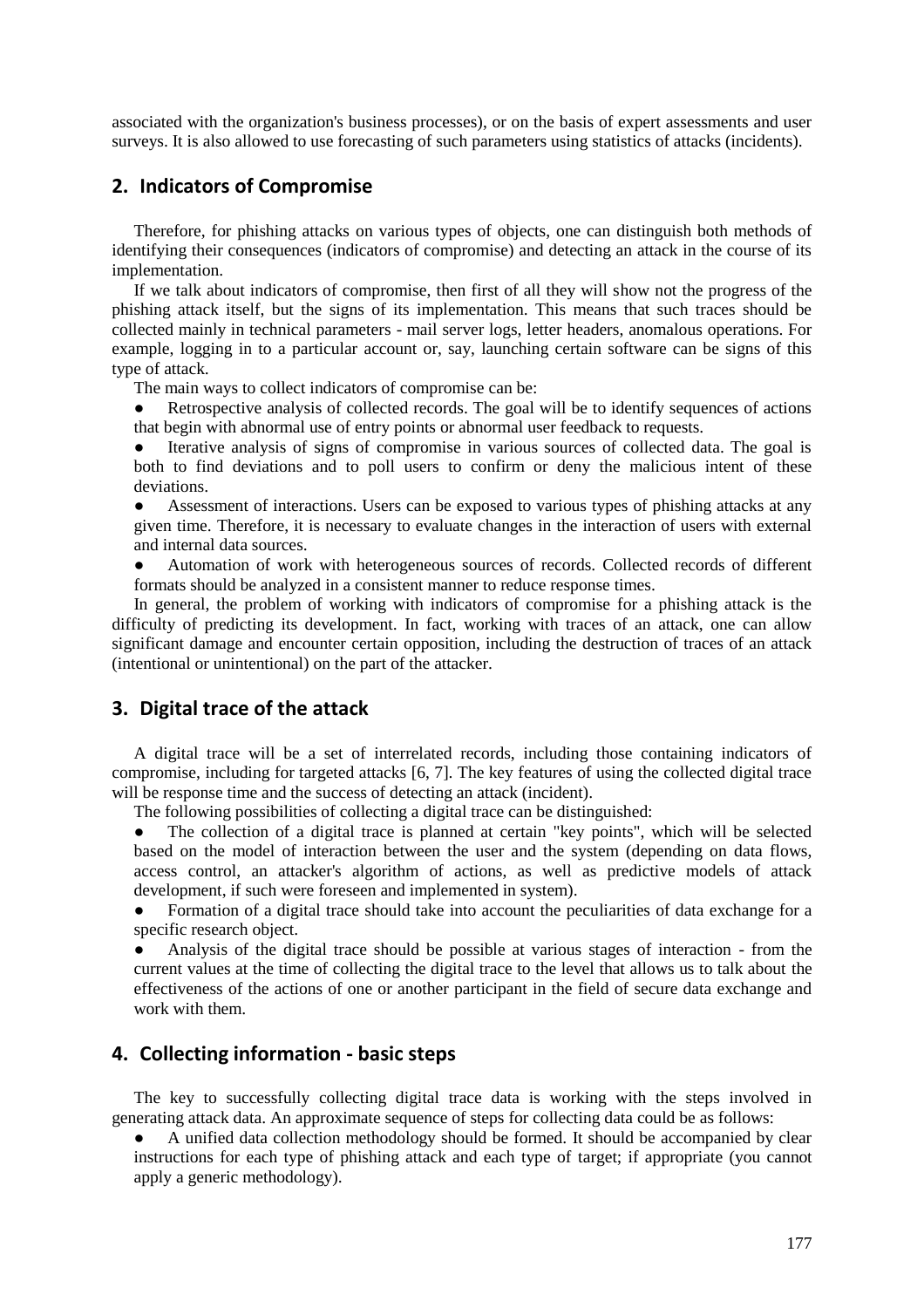associated with the organization's business processes), or on the basis of expert assessments and user surveys. It is also allowed to use forecasting of such parameters using statistics of attacks (incidents).

### **2. Indicators of Compromise**

Therefore, for phishing attacks on various types of objects, one can distinguish both methods of identifying their consequences (indicators of compromise) and detecting an attack in the course of its implementation.

If we talk about indicators of compromise, then first of all they will show not the progress of the phishing attack itself, but the signs of its implementation. This means that such traces should be collected mainly in technical parameters - mail server logs, letter headers, anomalous operations. For example, logging in to a particular account or, say, launching certain software can be signs of this type of attack.

The main ways to collect indicators of compromise can be:

Retrospective analysis of collected records. The goal will be to identify sequences of actions that begin with abnormal use of entry points or abnormal user feedback to requests.

● Iterative analysis of signs of compromise in various sources of collected data. The goal is both to find deviations and to poll users to confirm or deny the malicious intent of these deviations.

Assessment of interactions. Users can be exposed to various types of phishing attacks at any given time. Therefore, it is necessary to evaluate changes in the interaction of users with external and internal data sources.

Automation of work with heterogeneous sources of records. Collected records of different formats should be analyzed in a consistent manner to reduce response times.

In general, the problem of working with indicators of compromise for a phishing attack is the difficulty of predicting its development. In fact, working with traces of an attack, one can allow significant damage and encounter certain opposition, including the destruction of traces of an attack (intentional or unintentional) on the part of the attacker.

#### **3. Digital trace of the attack**

A digital trace will be a set of interrelated records, including those containing indicators of compromise, including for targeted attacks [6, 7]. The key features of using the collected digital trace will be response time and the success of detecting an attack (incident).

The following possibilities of collecting a digital trace can be distinguished:

● The collection of a digital trace is planned at certain "key points", which will be selected based on the model of interaction between the user and the system (depending on data flows, access control, an attacker's algorithm of actions, as well as predictive models of attack development, if such were foreseen and implemented in system).

Formation of a digital trace should take into account the peculiarities of data exchange for a specific research object.

Analysis of the digital trace should be possible at various stages of interaction - from the current values at the time of collecting the digital trace to the level that allows us to talk about the effectiveness of the actions of one or another participant in the field of secure data exchange and work with them.

#### **4. Collecting information - basic steps**

The key to successfully collecting digital trace data is working with the steps involved in generating attack data. An approximate sequence of steps for collecting data could be as follows:

A unified data collection methodology should be formed. It should be accompanied by clear instructions for each type of phishing attack and each type of target; if appropriate (you cannot apply a generic methodology).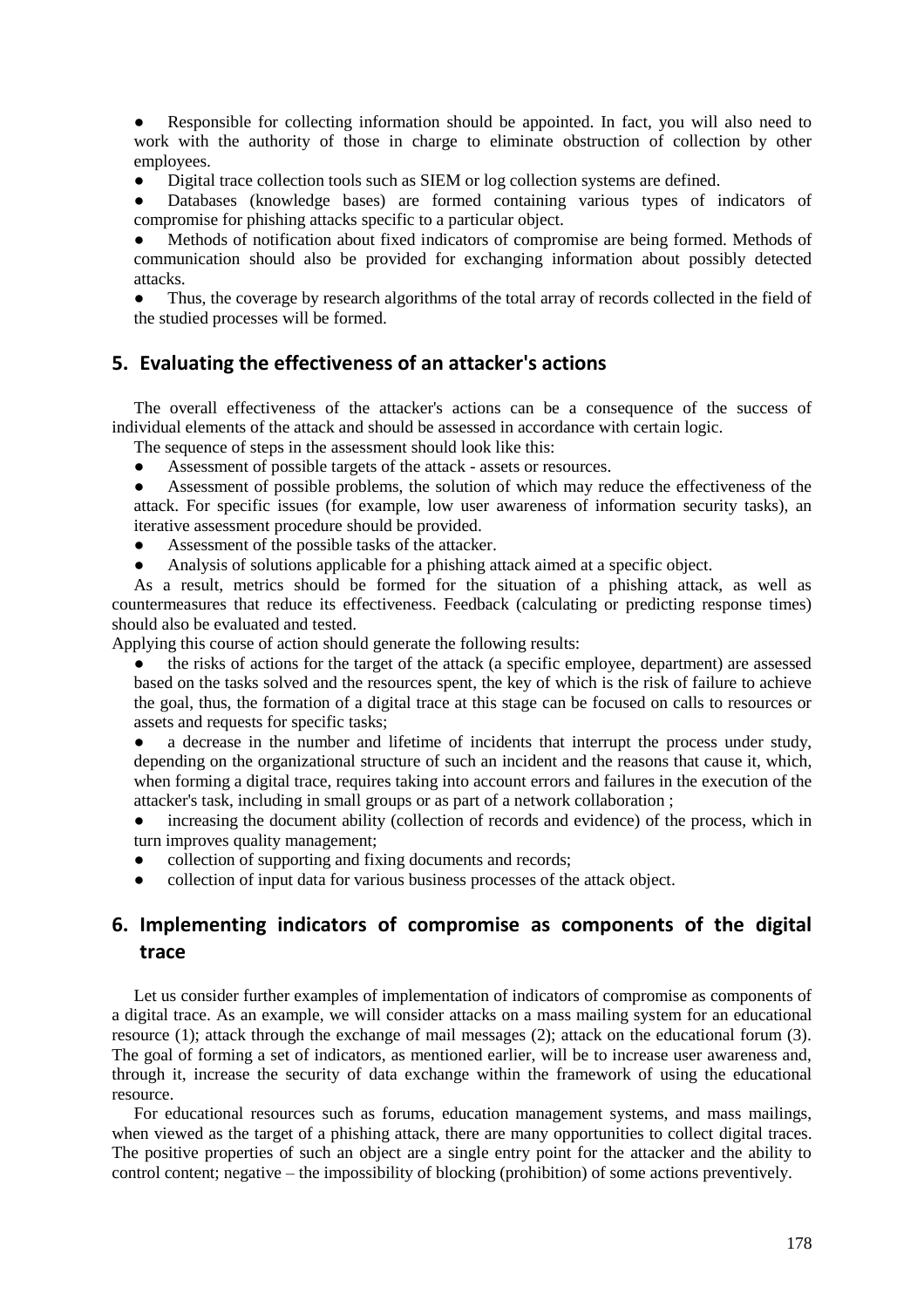● Responsible for collecting information should be appointed. In fact, you will also need to work with the authority of those in charge to eliminate obstruction of collection by other employees.

Digital trace collection tools such as SIEM or log collection systems are defined.

Databases (knowledge bases) are formed containing various types of indicators of compromise for phishing attacks specific to a particular object.

Methods of notification about fixed indicators of compromise are being formed. Methods of communication should also be provided for exchanging information about possibly detected attacks.

• Thus, the coverage by research algorithms of the total array of records collected in the field of the studied processes will be formed.

#### **5. Evaluating the effectiveness of an attacker's actions**

The overall effectiveness of the attacker's actions can be a consequence of the success of individual elements of the attack and should be assessed in accordance with certain logic.

The sequence of steps in the assessment should look like this:

Assessment of possible targets of the attack - assets or resources.

Assessment of possible problems, the solution of which may reduce the effectiveness of the attack. For specific issues (for example, low user awareness of information security tasks), an iterative assessment procedure should be provided.

- Assessment of the possible tasks of the attacker.
- Analysis of solutions applicable for a phishing attack aimed at a specific object.

As a result, metrics should be formed for the situation of a phishing attack, as well as countermeasures that reduce its effectiveness. Feedback (calculating or predicting response times) should also be evaluated and tested.

Applying this course of action should generate the following results:

the risks of actions for the target of the attack (a specific employee, department) are assessed based on the tasks solved and the resources spent, the key of which is the risk of failure to achieve the goal, thus, the formation of a digital trace at this stage can be focused on calls to resources or assets and requests for specific tasks;

a decrease in the number and lifetime of incidents that interrupt the process under study, depending on the organizational structure of such an incident and the reasons that cause it, which, when forming a digital trace, requires taking into account errors and failures in the execution of the attacker's task, including in small groups or as part of a network collaboration ;

increasing the document ability (collection of records and evidence) of the process, which in turn improves quality management;

- collection of supporting and fixing documents and records;
- collection of input data for various business processes of the attack object.

## **6. Implementing indicators of compromise as components of the digital trace**

Let us consider further examples of implementation of indicators of compromise as components of a digital trace. As an example, we will consider attacks on a mass mailing system for an educational resource (1); attack through the exchange of mail messages (2); attack on the educational forum (3). The goal of forming a set of indicators, as mentioned earlier, will be to increase user awareness and, through it, increase the security of data exchange within the framework of using the educational resource.

For educational resources such as forums, education management systems, and mass mailings, when viewed as the target of a phishing attack, there are many opportunities to collect digital traces. The positive properties of such an object are a single entry point for the attacker and the ability to control content; negative – the impossibility of blocking (prohibition) of some actions preventively.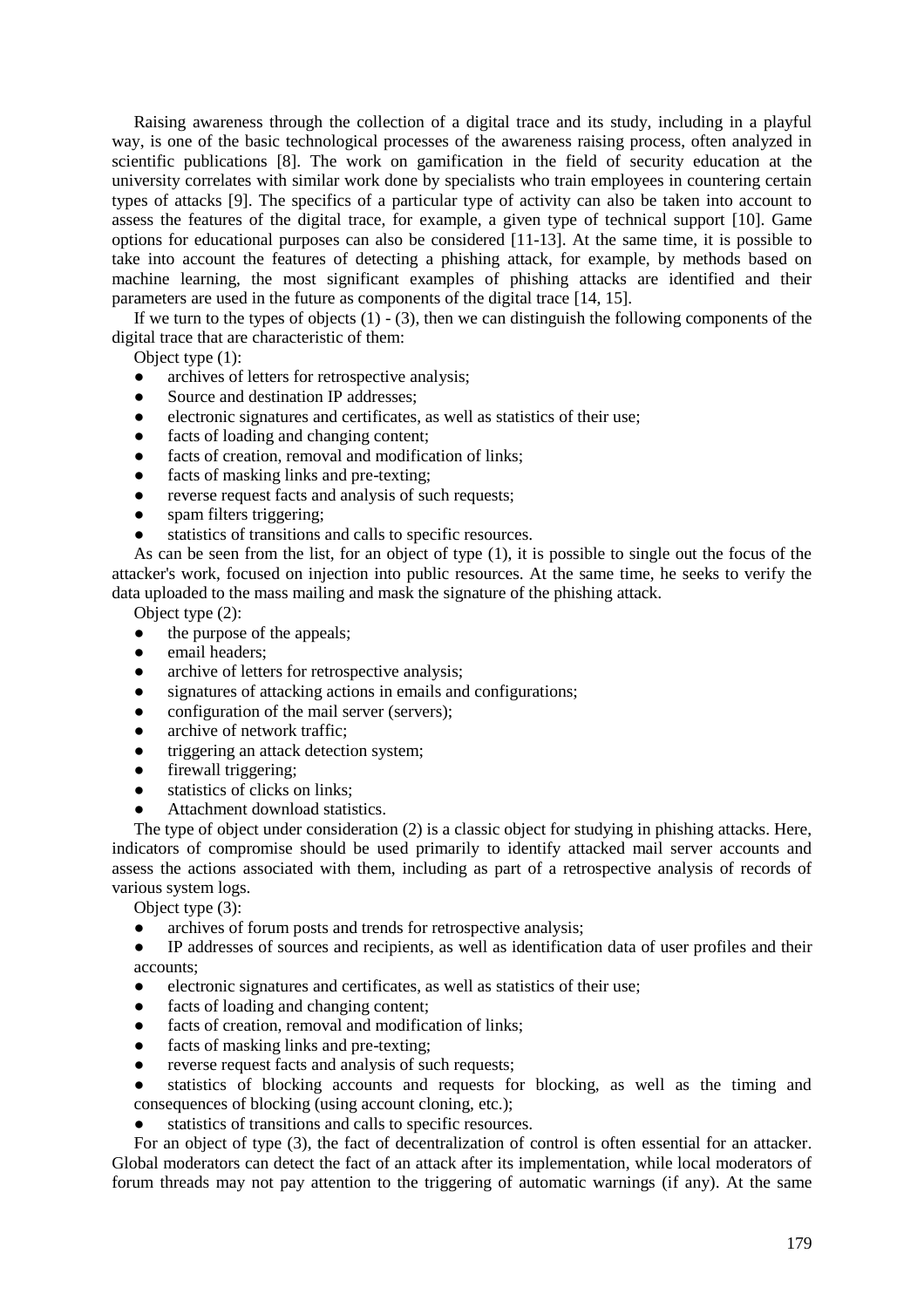Raising awareness through the collection of a digital trace and its study, including in a playful way, is one of the basic technological processes of the awareness raising process, often analyzed in scientific publications [8]. The work on gamification in the field of security education at the university correlates with similar work done by specialists who train employees in countering certain types of attacks [9]. The specifics of a particular type of activity can also be taken into account to assess the features of the digital trace, for example, a given type of technical support [10]. Game options for educational purposes can also be considered [11-13]. At the same time, it is possible to take into account the features of detecting a phishing attack, for example, by methods based on machine learning, the most significant examples of phishing attacks are identified and their parameters are used in the future as components of the digital trace [14, 15].

If we turn to the types of objects  $(1)$  -  $(3)$ , then we can distinguish the following components of the digital trace that are characteristic of them:

Object type (1):

- archives of letters for retrospective analysis;
- Source and destination IP addresses;
- electronic signatures and certificates, as well as statistics of their use;
- facts of loading and changing content:
- facts of creation, removal and modification of links;
- facts of masking links and pre-texting;
- reverse request facts and analysis of such requests;
- spam filters triggering;
- statistics of transitions and calls to specific resources.

As can be seen from the list, for an object of type (1), it is possible to single out the focus of the attacker's work, focused on injection into public resources. At the same time, he seeks to verify the data uploaded to the mass mailing and mask the signature of the phishing attack.

Object type (2):

- the purpose of the appeals;
- email headers;
- archive of letters for retrospective analysis;
- signatures of attacking actions in emails and configurations;
- configuration of the mail server (servers);
- archive of network traffic;
- triggering an attack detection system;
- firewall triggering;
- statistics of clicks on links:
- Attachment download statistics.

The type of object under consideration (2) is a classic object for studying in phishing attacks. Here, indicators of compromise should be used primarily to identify attacked mail server accounts and assess the actions associated with them, including as part of a retrospective analysis of records of various system logs.

Object type (3):

• archives of forum posts and trends for retrospective analysis;

● IP addresses of sources and recipients, as well as identification data of user profiles and their accounts;

- electronic signatures and certificates, as well as statistics of their use;
- facts of loading and changing content;
- facts of creation, removal and modification of links;
- facts of masking links and pre-texting;
- reverse request facts and analysis of such requests;
- statistics of blocking accounts and requests for blocking, as well as the timing and consequences of blocking (using account cloning, etc.);
- statistics of transitions and calls to specific resources.

For an object of type (3), the fact of decentralization of control is often essential for an attacker. Global moderators can detect the fact of an attack after its implementation, while local moderators of forum threads may not pay attention to the triggering of automatic warnings (if any). At the same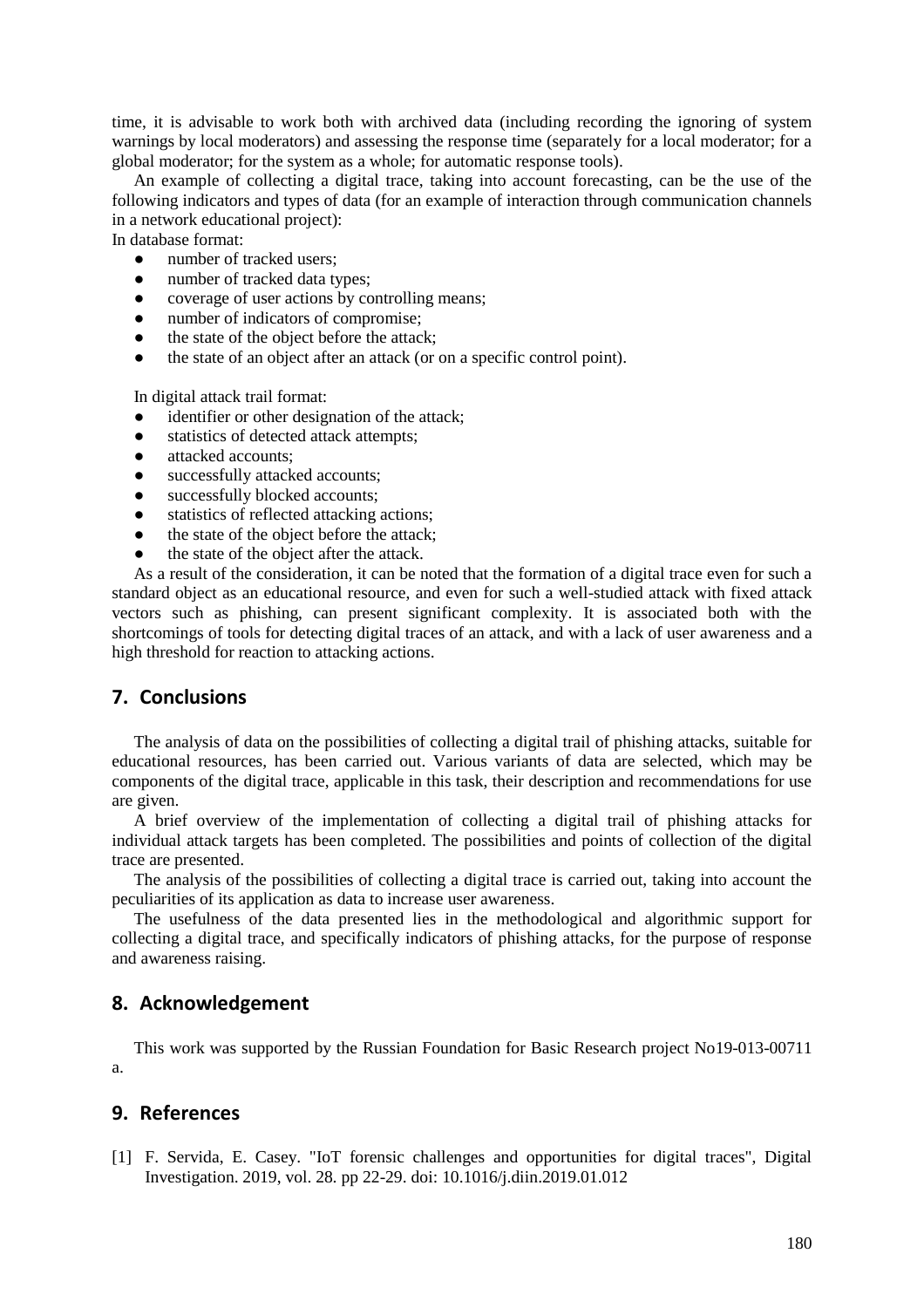time, it is advisable to work both with archived data (including recording the ignoring of system warnings by local moderators) and assessing the response time (separately for a local moderator; for a global moderator; for the system as a whole; for automatic response tools).

An example of collecting a digital trace, taking into account forecasting, can be the use of the following indicators and types of data (for an example of interaction through communication channels in a network educational project):

In database format:

- number of tracked users:
- number of tracked data types;
- coverage of user actions by controlling means;
- number of indicators of compromise:
- the state of the object before the attack;
- the state of an object after an attack (or on a specific control point).

In digital attack trail format:

- identifier or other designation of the attack;
- statistics of detected attack attempts:
- attacked accounts:
- successfully attacked accounts;
- successfully blocked accounts;
- statistics of reflected attacking actions;
- the state of the object before the attack;
- the state of the object after the attack.

As a result of the consideration, it can be noted that the formation of a digital trace even for such a standard object as an educational resource, and even for such a well-studied attack with fixed attack vectors such as phishing, can present significant complexity. It is associated both with the shortcomings of tools for detecting digital traces of an attack, and with a lack of user awareness and a high threshold for reaction to attacking actions.

### **7. Conclusions**

The analysis of data on the possibilities of collecting a digital trail of phishing attacks, suitable for educational resources, has been carried out. Various variants of data are selected, which may be components of the digital trace, applicable in this task, their description and recommendations for use are given.

A brief overview of the implementation of collecting a digital trail of phishing attacks for individual attack targets has been completed. The possibilities and points of collection of the digital trace are presented.

The analysis of the possibilities of collecting a digital trace is carried out, taking into account the peculiarities of its application as data to increase user awareness.

The usefulness of the data presented lies in the methodological and algorithmic support for collecting a digital trace, and specifically indicators of phishing attacks, for the purpose of response and awareness raising.

#### **8. Acknowledgement**

This work was supported by the Russian Foundation for Basic Research project No19-013-00711 a.

#### **9. References**

[1] F. Servida, E. Casey. "IoT forensic challenges and opportunities for digital traces", Digital Investigation. 2019, vol. 28. pp 22-29. doi: 10.1016/j.diin.2019.01.012